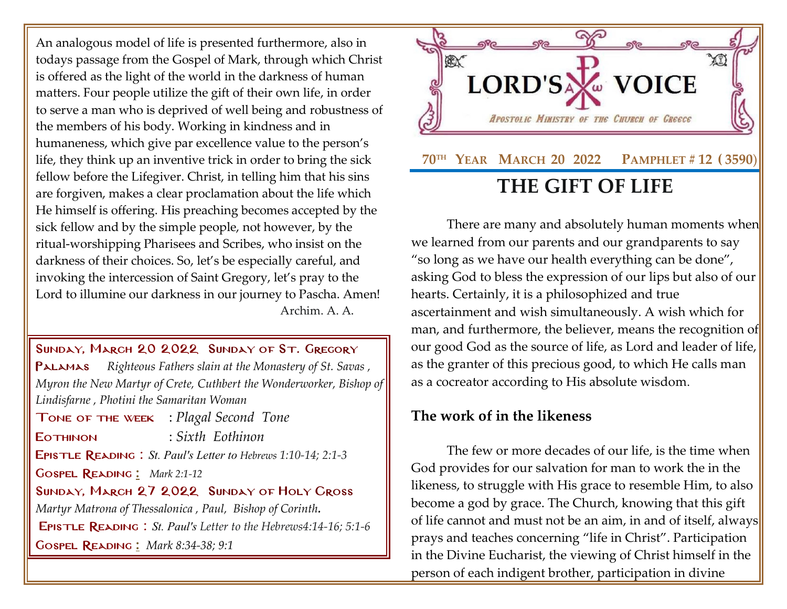An analogous model of life is presented furthermore, also in todays passage from the Gospel of Mark, through which Christ is offered as the light of the world in the darkness of human matters. Four people utilize the gift of their own life, in order to serve a man who is deprived of well being and robustness of the members of his body. Working in kindness and in humaneness, which give par excellence value to the person's life, they think up an inventive trick in order to bring the sick fellow before the Lifegiver. Christ, in telling him that his sins are forgiven, makes a clear proclamation about the life which He himself is offering. His preaching becomes accepted by the sick fellow and by the simple people, not however, by the ritual-worshipping Pharisees and Scribes, who insist on the darkness of their choices. So, let's be especially careful, and invoking the intercession of Saint Gregory, let's pray to the Lord to illumine our darkness in our journey to Pascha. Amen! Archim. A. A.

SUNDAY, MARCH 20 2022 SUNDAY OF ST. GREGORY

[Palamas](http://www.goarch.org/chapel/saints?contentid=1016&PCode=MEATS&D=S&date=02/27/2022) *[Righteous Fathers slain at the Monastery of St. Savas](http://www.goarch.org/chapel/saints?contentid=466) , Myron the New Martyr of Crete, [Cuthbert the Wonderworker, Bishop of](http://www.goarch.org/chapel/saints?contentid=2366)  [Lindisfarne](http://www.goarch.org/chapel/saints?contentid=2366) , [Photini the Samaritan Woman](http://www.goarch.org/chapel/saints?contentid=2030)*

Tone of the week : *Plagal Second Tone*

Eothinon : *Sixth Eothinon*

Epistle Reading : *St. Paul's Letter to Hebrews [1:10-14; 2:1-3](http://www.goarch.org/chapel/lectionary?type=E&code=138&event=1027&date=03/13/2022)*

Gospel Reading **[:](http://www.goarch.org/chapel/lectionary?type=G&code=362&event=218)** *[Mark 2:1-12](http://www.goarch.org/chapel/lectionary?type=G&code=295&event=1055)*

## Sunday, March 27 2022 Sunday [of Holy Cross](http://www.goarch.org/chapel/saints?contentid=1016&PCode=MEATS&D=S&date=02/27/2022)

*[Martyr Matrona of Thessalonica](http://www.goarch.org/chapel/saints?contentid=466) , Paul, Bishop of Corinth.* Epistle Reading : *St. Paul's Letter to the Hebrews4:14-16; 5:1-6* Gospel Reading **[:](http://www.goarch.org/chapel/lectionary?type=G&code=362&event=218)** *[Mark 8:34-38; 9:1](http://www.goarch.org/chapel/lectionary?type=G&code=324&event=1083)*



There are many and absolutely human moments when we learned from our parents and our grandparents to say "so long as we have our health everything can be done", asking God to bless the expression of our lips but also of our hearts. Certainly, it is a philosophized and true ascertainment and wish simultaneously. A wish which for man, and furthermore, the believer, means the recognition of our good God as the source of life, as Lord and leader of life, as the granter of this precious good, to which He calls man as a cocreator according to His absolute wisdom.

## **The work of in the likeness**

The few or more decades of our life, is the time when God provides for our salvation for man to work the in the likeness, to struggle with His grace to resemble Him, to also become a god by grace. The Church, knowing that this gift of life cannot and must not be an aim, in and of itself, always prays and teaches concerning "life in Christ". Participation in the Divine Eucharist, the viewing of Christ himself in the person of each indigent brother, participation in divine